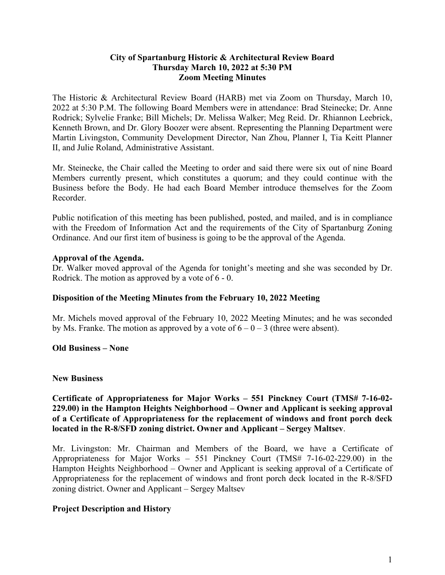#### **City of Spartanburg Historic & Architectural Review Board Thursday March 10, 2022 at 5:30 PM Zoom Meeting Minutes**

The Historic & Architectural Review Board (HARB) met via Zoom on Thursday, March 10, 2022 at 5:30 P.M. The following Board Members were in attendance: Brad Steinecke; Dr. Anne Rodrick; Sylvelie Franke; Bill Michels; Dr. Melissa Walker; Meg Reid. Dr. Rhiannon Leebrick, Kenneth Brown, and Dr. Glory Boozer were absent. Representing the Planning Department were Martin Livingston, Community Development Director, Nan Zhou, Planner I, Tia Keitt Planner II, and Julie Roland, Administrative Assistant.

Mr. Steinecke, the Chair called the Meeting to order and said there were six out of nine Board Members currently present, which constitutes a quorum; and they could continue with the Business before the Body. He had each Board Member introduce themselves for the Zoom Recorder.

Public notification of this meeting has been published, posted, and mailed, and is in compliance with the Freedom of Information Act and the requirements of the City of Spartanburg Zoning Ordinance. And our first item of business is going to be the approval of the Agenda.

### **Approval of the Agenda.**

Dr. Walker moved approval of the Agenda for tonight's meeting and she was seconded by Dr. Rodrick. The motion as approved by a vote of 6 - 0.

#### **Disposition of the Meeting Minutes from the February 10, 2022 Meeting**

Mr. Michels moved approval of the February 10, 2022 Meeting Minutes; and he was seconded by Ms. Franke. The motion as approved by a vote of  $6 - 0 - 3$  (three were absent).

#### **Old Business – None**

#### **New Business**

#### **Certificate of Appropriateness for Major Works – 551 Pinckney Court (TMS# 7-16-02- 229.00) in the Hampton Heights Neighborhood – Owner and Applicant is seeking approval of a Certificate of Appropriateness for the replacement of windows and front porch deck located in the R-8/SFD zoning district. Owner and Applicant – Sergey Maltsev**.

Mr. Livingston: Mr. Chairman and Members of the Board, we have a Certificate of Appropriateness for Major Works – 551 Pinckney Court (TMS# 7-16-02-229.00) in the Hampton Heights Neighborhood – Owner and Applicant is seeking approval of a Certificate of Appropriateness for the replacement of windows and front porch deck located in the R-8/SFD zoning district. Owner and Applicant – Sergey Maltsev

#### **Project Description and History**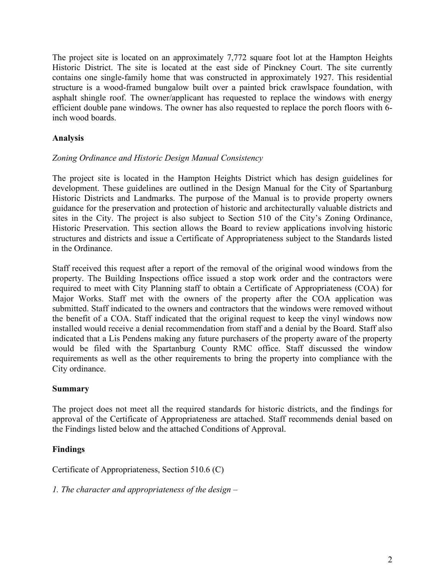The project site is located on an approximately 7,772 square foot lot at the Hampton Heights Historic District. The site is located at the east side of Pinckney Court. The site currently contains one single-family home that was constructed in approximately 1927. This residential structure is a wood-framed bungalow built over a painted brick crawlspace foundation, with asphalt shingle roof. The owner/applicant has requested to replace the windows with energy efficient double pane windows. The owner has also requested to replace the porch floors with 6 inch wood boards.

## **Analysis**

### *Zoning Ordinance and Historic Design Manual Consistency*

The project site is located in the Hampton Heights District which has design guidelines for development. These guidelines are outlined in the Design Manual for the City of Spartanburg Historic Districts and Landmarks. The purpose of the Manual is to provide property owners guidance for the preservation and protection of historic and architecturally valuable districts and sites in the City. The project is also subject to Section 510 of the City's Zoning Ordinance, Historic Preservation. This section allows the Board to review applications involving historic structures and districts and issue a Certificate of Appropriateness subject to the Standards listed in the Ordinance.

Staff received this request after a report of the removal of the original wood windows from the property. The Building Inspections office issued a stop work order and the contractors were required to meet with City Planning staff to obtain a Certificate of Appropriateness (COA) for Major Works. Staff met with the owners of the property after the COA application was submitted. Staff indicated to the owners and contractors that the windows were removed without the benefit of a COA. Staff indicated that the original request to keep the vinyl windows now installed would receive a denial recommendation from staff and a denial by the Board. Staff also indicated that a Lis Pendens making any future purchasers of the property aware of the property would be filed with the Spartanburg County RMC office. Staff discussed the window requirements as well as the other requirements to bring the property into compliance with the City ordinance.

### **Summary**

The project does not meet all the required standards for historic districts, and the findings for approval of the Certificate of Appropriateness are attached. Staff recommends denial based on the Findings listed below and the attached Conditions of Approval.

### **Findings**

Certificate of Appropriateness, Section 510.6 (C)

*1. The character and appropriateness of the design –*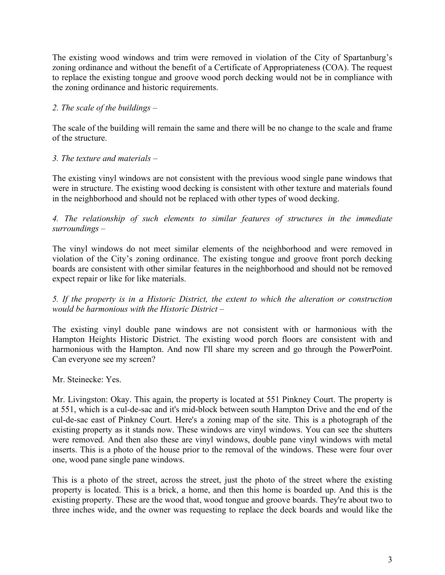The existing wood windows and trim were removed in violation of the City of Spartanburg's zoning ordinance and without the benefit of a Certificate of Appropriateness (COA). The request to replace the existing tongue and groove wood porch decking would not be in compliance with the zoning ordinance and historic requirements.

## *2. The scale of the buildings –*

The scale of the building will remain the same and there will be no change to the scale and frame of the structure.

# *3. The texture and materials –*

The existing vinyl windows are not consistent with the previous wood single pane windows that were in structure. The existing wood decking is consistent with other texture and materials found in the neighborhood and should not be replaced with other types of wood decking.

*4. The relationship of such elements to similar features of structures in the immediate surroundings –*

The vinyl windows do not meet similar elements of the neighborhood and were removed in violation of the City's zoning ordinance. The existing tongue and groove front porch decking boards are consistent with other similar features in the neighborhood and should not be removed expect repair or like for like materials.

### *5. If the property is in a Historic District, the extent to which the alteration or construction would be harmonious with the Historic District –*

The existing vinyl double pane windows are not consistent with or harmonious with the Hampton Heights Historic District. The existing wood porch floors are consistent with and harmonious with the Hampton. And now I'll share my screen and go through the PowerPoint. Can everyone see my screen?

### Mr. Steinecke: Yes.

Mr. Livingston: Okay. This again, the property is located at 551 Pinkney Court. The property is at 551, which is a cul-de-sac and it's mid-block between south Hampton Drive and the end of the cul-de-sac east of Pinkney Court. Here's a zoning map of the site. This is a photograph of the existing property as it stands now. These windows are vinyl windows. You can see the shutters were removed. And then also these are vinyl windows, double pane vinyl windows with metal inserts. This is a photo of the house prior to the removal of the windows. These were four over one, wood pane single pane windows.

This is a photo of the street, across the street, just the photo of the street where the existing property is located. This is a brick, a home, and then this home is boarded up. And this is the existing property. These are the wood that, wood tongue and groove boards. They're about two to three inches wide, and the owner was requesting to replace the deck boards and would like the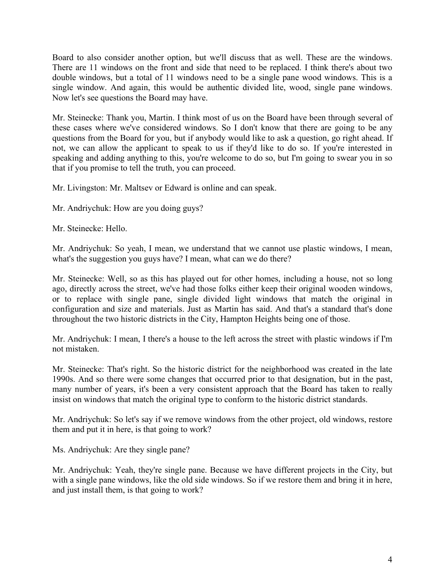Board to also consider another option, but we'll discuss that as well. These are the windows. There are 11 windows on the front and side that need to be replaced. I think there's about two double windows, but a total of 11 windows need to be a single pane wood windows. This is a single window. And again, this would be authentic divided lite, wood, single pane windows. Now let's see questions the Board may have.

Mr. Steinecke: Thank you, Martin. I think most of us on the Board have been through several of these cases where we've considered windows. So I don't know that there are going to be any questions from the Board for you, but if anybody would like to ask a question, go right ahead. If not, we can allow the applicant to speak to us if they'd like to do so. If you're interested in speaking and adding anything to this, you're welcome to do so, but I'm going to swear you in so that if you promise to tell the truth, you can proceed.

Mr. Livingston: Mr. Maltsev or Edward is online and can speak.

Mr. Andriychuk: How are you doing guys?

Mr. Steinecke: Hello.

Mr. Andriychuk: So yeah, I mean, we understand that we cannot use plastic windows, I mean, what's the suggestion you guys have? I mean, what can we do there?

Mr. Steinecke: Well, so as this has played out for other homes, including a house, not so long ago, directly across the street, we've had those folks either keep their original wooden windows, or to replace with single pane, single divided light windows that match the original in configuration and size and materials. Just as Martin has said. And that's a standard that's done throughout the two historic districts in the City, Hampton Heights being one of those.

Mr. Andriychuk: I mean, I there's a house to the left across the street with plastic windows if I'm not mistaken.

Mr. Steinecke: That's right. So the historic district for the neighborhood was created in the late 1990s. And so there were some changes that occurred prior to that designation, but in the past, many number of years, it's been a very consistent approach that the Board has taken to really insist on windows that match the original type to conform to the historic district standards.

Mr. Andriychuk: So let's say if we remove windows from the other project, old windows, restore them and put it in here, is that going to work?

Ms. Andriychuk: Are they single pane?

Mr. Andriychuk: Yeah, they're single pane. Because we have different projects in the City, but with a single pane windows, like the old side windows. So if we restore them and bring it in here, and just install them, is that going to work?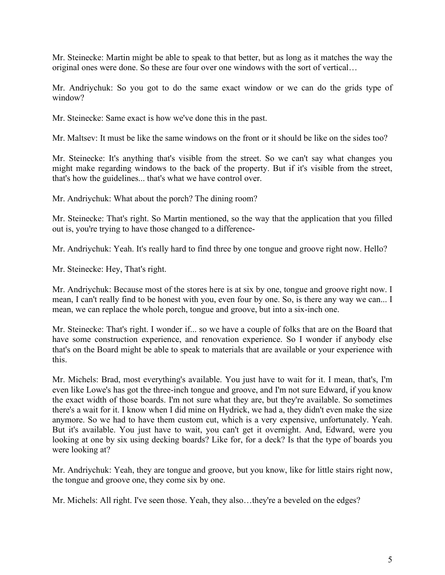Mr. Steinecke: Martin might be able to speak to that better, but as long as it matches the way the original ones were done. So these are four over one windows with the sort of vertical…

Mr. Andriychuk: So you got to do the same exact window or we can do the grids type of window?

Mr. Steinecke: Same exact is how we've done this in the past.

Mr. Maltsev: It must be like the same windows on the front or it should be like on the sides too?

Mr. Steinecke: It's anything that's visible from the street. So we can't say what changes you might make regarding windows to the back of the property. But if it's visible from the street, that's how the guidelines... that's what we have control over.

Mr. Andriychuk: What about the porch? The dining room?

Mr. Steinecke: That's right. So Martin mentioned, so the way that the application that you filled out is, you're trying to have those changed to a difference-

Mr. Andriychuk: Yeah. It's really hard to find three by one tongue and groove right now. Hello?

Mr. Steinecke: Hey, That's right.

Mr. Andriychuk: Because most of the stores here is at six by one, tongue and groove right now. I mean, I can't really find to be honest with you, even four by one. So, is there any way we can... I mean, we can replace the whole porch, tongue and groove, but into a six-inch one.

Mr. Steinecke: That's right. I wonder if... so we have a couple of folks that are on the Board that have some construction experience, and renovation experience. So I wonder if anybody else that's on the Board might be able to speak to materials that are available or your experience with this.

Mr. Michels: Brad, most everything's available. You just have to wait for it. I mean, that's, I'm even like Lowe's has got the three-inch tongue and groove, and I'm not sure Edward, if you know the exact width of those boards. I'm not sure what they are, but they're available. So sometimes there's a wait for it. I know when I did mine on Hydrick, we had a, they didn't even make the size anymore. So we had to have them custom cut, which is a very expensive, unfortunately. Yeah. But it's available. You just have to wait, you can't get it overnight. And, Edward, were you looking at one by six using decking boards? Like for, for a deck? Is that the type of boards you were looking at?

Mr. Andriychuk: Yeah, they are tongue and groove, but you know, like for little stairs right now, the tongue and groove one, they come six by one.

Mr. Michels: All right. I've seen those. Yeah, they also…they're a beveled on the edges?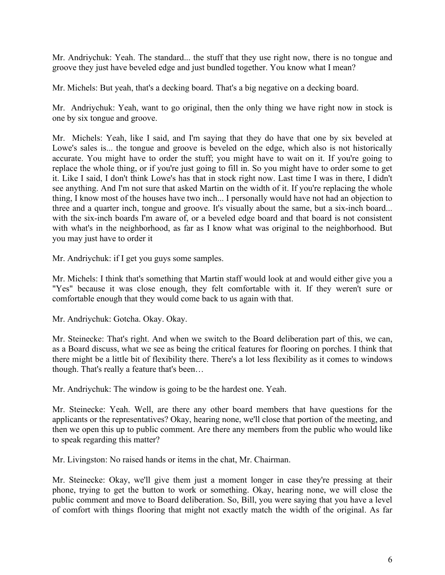Mr. Andriychuk: Yeah. The standard... the stuff that they use right now, there is no tongue and groove they just have beveled edge and just bundled together. You know what I mean?

Mr. Michels: But yeah, that's a decking board. That's a big negative on a decking board.

Mr. Andriychuk: Yeah, want to go original, then the only thing we have right now in stock is one by six tongue and groove.

Mr. Michels: Yeah, like I said, and I'm saying that they do have that one by six beveled at Lowe's sales is... the tongue and groove is beveled on the edge, which also is not historically accurate. You might have to order the stuff; you might have to wait on it. If you're going to replace the whole thing, or if you're just going to fill in. So you might have to order some to get it. Like I said, I don't think Lowe's has that in stock right now. Last time I was in there, I didn't see anything. And I'm not sure that asked Martin on the width of it. If you're replacing the whole thing, I know most of the houses have two inch... I personally would have not had an objection to three and a quarter inch, tongue and groove. It's visually about the same, but a six-inch board... with the six-inch boards I'm aware of, or a beveled edge board and that board is not consistent with what's in the neighborhood, as far as I know what was original to the neighborhood. But you may just have to order it

Mr. Andriychuk: if I get you guys some samples.

Mr. Michels: I think that's something that Martin staff would look at and would either give you a "Yes" because it was close enough, they felt comfortable with it. If they weren't sure or comfortable enough that they would come back to us again with that.

Mr. Andriychuk: Gotcha. Okay. Okay.

Mr. Steinecke: That's right. And when we switch to the Board deliberation part of this, we can, as a Board discuss, what we see as being the critical features for flooring on porches. I think that there might be a little bit of flexibility there. There's a lot less flexibility as it comes to windows though. That's really a feature that's been…

Mr. Andriychuk: The window is going to be the hardest one. Yeah.

Mr. Steinecke: Yeah. Well, are there any other board members that have questions for the applicants or the representatives? Okay, hearing none, we'll close that portion of the meeting, and then we open this up to public comment. Are there any members from the public who would like to speak regarding this matter?

Mr. Livingston: No raised hands or items in the chat, Mr. Chairman.

Mr. Steinecke: Okay, we'll give them just a moment longer in case they're pressing at their phone, trying to get the button to work or something. Okay, hearing none, we will close the public comment and move to Board deliberation. So, Bill, you were saying that you have a level of comfort with things flooring that might not exactly match the width of the original. As far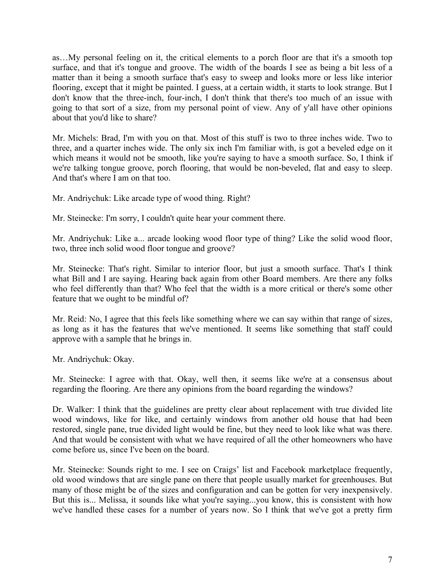as…My personal feeling on it, the critical elements to a porch floor are that it's a smooth top surface, and that it's tongue and groove. The width of the boards I see as being a bit less of a matter than it being a smooth surface that's easy to sweep and looks more or less like interior flooring, except that it might be painted. I guess, at a certain width, it starts to look strange. But I don't know that the three-inch, four-inch, I don't think that there's too much of an issue with going to that sort of a size, from my personal point of view. Any of y'all have other opinions about that you'd like to share?

Mr. Michels: Brad, I'm with you on that. Most of this stuff is two to three inches wide. Two to three, and a quarter inches wide. The only six inch I'm familiar with, is got a beveled edge on it which means it would not be smooth, like you're saying to have a smooth surface. So, I think if we're talking tongue groove, porch flooring, that would be non-beveled, flat and easy to sleep. And that's where I am on that too.

Mr. Andriychuk: Like arcade type of wood thing. Right?

Mr. Steinecke: I'm sorry, I couldn't quite hear your comment there.

Mr. Andriychuk: Like a... arcade looking wood floor type of thing? Like the solid wood floor, two, three inch solid wood floor tongue and groove?

Mr. Steinecke: That's right. Similar to interior floor, but just a smooth surface. That's I think what Bill and I are saying. Hearing back again from other Board members. Are there any folks who feel differently than that? Who feel that the width is a more critical or there's some other feature that we ought to be mindful of?

Mr. Reid: No, I agree that this feels like something where we can say within that range of sizes, as long as it has the features that we've mentioned. It seems like something that staff could approve with a sample that he brings in.

Mr. Andriychuk: Okay.

Mr. Steinecke: I agree with that. Okay, well then, it seems like we're at a consensus about regarding the flooring. Are there any opinions from the board regarding the windows?

Dr. Walker: I think that the guidelines are pretty clear about replacement with true divided lite wood windows, like for like, and certainly windows from another old house that had been restored, single pane, true divided light would be fine, but they need to look like what was there. And that would be consistent with what we have required of all the other homeowners who have come before us, since I've been on the board.

Mr. Steinecke: Sounds right to me. I see on Craigs' list and Facebook marketplace frequently, old wood windows that are single pane on there that people usually market for greenhouses. But many of those might be of the sizes and configuration and can be gotten for very inexpensively. But this is... Melissa, it sounds like what you're saying...you know, this is consistent with how we've handled these cases for a number of years now. So I think that we've got a pretty firm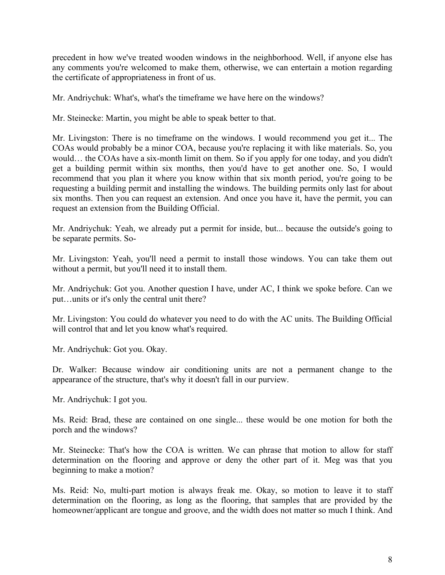precedent in how we've treated wooden windows in the neighborhood. Well, if anyone else has any comments you're welcomed to make them, otherwise, we can entertain a motion regarding the certificate of appropriateness in front of us.

Mr. Andriychuk: What's, what's the timeframe we have here on the windows?

Mr. Steinecke: Martin, you might be able to speak better to that.

Mr. Livingston: There is no timeframe on the windows. I would recommend you get it... The COAs would probably be a minor COA, because you're replacing it with like materials. So, you would… the COAs have a six-month limit on them. So if you apply for one today, and you didn't get a building permit within six months, then you'd have to get another one. So, I would recommend that you plan it where you know within that six month period, you're going to be requesting a building permit and installing the windows. The building permits only last for about six months. Then you can request an extension. And once you have it, have the permit, you can request an extension from the Building Official.

Mr. Andriychuk: Yeah, we already put a permit for inside, but... because the outside's going to be separate permits. So-

Mr. Livingston: Yeah, you'll need a permit to install those windows. You can take them out without a permit, but you'll need it to install them.

Mr. Andriychuk: Got you. Another question I have, under AC, I think we spoke before. Can we put…units or it's only the central unit there?

Mr. Livingston: You could do whatever you need to do with the AC units. The Building Official will control that and let you know what's required.

Mr. Andriychuk: Got you. Okay.

Dr. Walker: Because window air conditioning units are not a permanent change to the appearance of the structure, that's why it doesn't fall in our purview.

Mr. Andriychuk: I got you.

Ms. Reid: Brad, these are contained on one single... these would be one motion for both the porch and the windows?

Mr. Steinecke: That's how the COA is written. We can phrase that motion to allow for staff determination on the flooring and approve or deny the other part of it. Meg was that you beginning to make a motion?

Ms. Reid: No, multi-part motion is always freak me. Okay, so motion to leave it to staff determination on the flooring, as long as the flooring, that samples that are provided by the homeowner/applicant are tongue and groove, and the width does not matter so much I think. And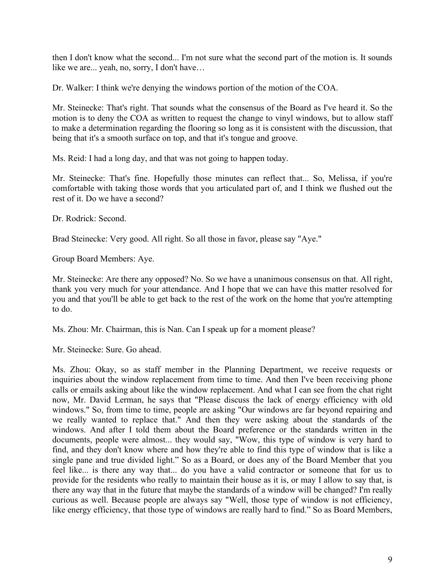then I don't know what the second... I'm not sure what the second part of the motion is. It sounds like we are... yeah, no, sorry, I don't have…

Dr. Walker: I think we're denying the windows portion of the motion of the COA.

Mr. Steinecke: That's right. That sounds what the consensus of the Board as I've heard it. So the motion is to deny the COA as written to request the change to vinyl windows, but to allow staff to make a determination regarding the flooring so long as it is consistent with the discussion, that being that it's a smooth surface on top, and that it's tongue and groove.

Ms. Reid: I had a long day, and that was not going to happen today.

Mr. Steinecke: That's fine. Hopefully those minutes can reflect that... So, Melissa, if you're comfortable with taking those words that you articulated part of, and I think we flushed out the rest of it. Do we have a second?

Dr. Rodrick: Second.

Brad Steinecke: Very good. All right. So all those in favor, please say "Aye."

Group Board Members: Aye.

Mr. Steinecke: Are there any opposed? No. So we have a unanimous consensus on that. All right, thank you very much for your attendance. And I hope that we can have this matter resolved for you and that you'll be able to get back to the rest of the work on the home that you're attempting to do.

Ms. Zhou: Mr. Chairman, this is Nan. Can I speak up for a moment please?

Mr. Steinecke: Sure. Go ahead.

Ms. Zhou: Okay, so as staff member in the Planning Department, we receive requests or inquiries about the window replacement from time to time. And then I've been receiving phone calls or emails asking about like the window replacement. And what I can see from the chat right now, Mr. David Lerman, he says that "Please discuss the lack of energy efficiency with old windows." So, from time to time, people are asking "Our windows are far beyond repairing and we really wanted to replace that." And then they were asking about the standards of the windows. And after I told them about the Board preference or the standards written in the documents, people were almost... they would say, "Wow, this type of window is very hard to find, and they don't know where and how they're able to find this type of window that is like a single pane and true divided light." So as a Board, or does any of the Board Member that you feel like... is there any way that... do you have a valid contractor or someone that for us to provide for the residents who really to maintain their house as it is, or may I allow to say that, is there any way that in the future that maybe the standards of a window will be changed? I'm really curious as well. Because people are always say "Well, those type of window is not efficiency, like energy efficiency, that those type of windows are really hard to find." So as Board Members,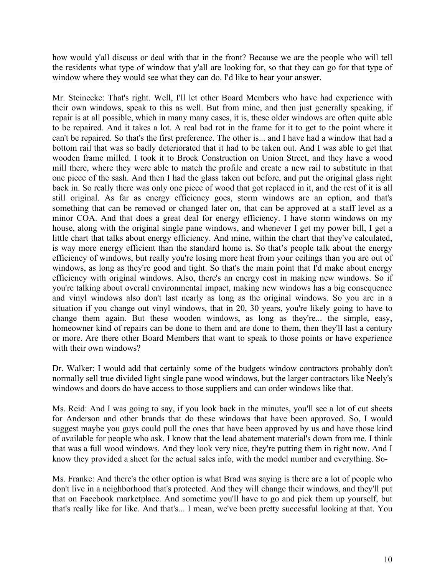how would y'all discuss or deal with that in the front? Because we are the people who will tell the residents what type of window that y'all are looking for, so that they can go for that type of window where they would see what they can do. I'd like to hear your answer.

Mr. Steinecke: That's right. Well, I'll let other Board Members who have had experience with their own windows, speak to this as well. But from mine, and then just generally speaking, if repair is at all possible, which in many many cases, it is, these older windows are often quite able to be repaired. And it takes a lot. A real bad rot in the frame for it to get to the point where it can't be repaired. So that's the first preference. The other is... and I have had a window that had a bottom rail that was so badly deteriorated that it had to be taken out. And I was able to get that wooden frame milled. I took it to Brock Construction on Union Street, and they have a wood mill there, where they were able to match the profile and create a new rail to substitute in that one piece of the sash. And then I had the glass taken out before, and put the original glass right back in. So really there was only one piece of wood that got replaced in it, and the rest of it is all still original. As far as energy efficiency goes, storm windows are an option, and that's something that can be removed or changed later on, that can be approved at a staff level as a minor COA. And that does a great deal for energy efficiency. I have storm windows on my house, along with the original single pane windows, and whenever I get my power bill, I get a little chart that talks about energy efficiency. And mine, within the chart that they've calculated, is way more energy efficient than the standard home is. So that's people talk about the energy efficiency of windows, but really you're losing more heat from your ceilings than you are out of windows, as long as they're good and tight. So that's the main point that I'd make about energy efficiency with original windows. Also, there's an energy cost in making new windows. So if you're talking about overall environmental impact, making new windows has a big consequence and vinyl windows also don't last nearly as long as the original windows. So you are in a situation if you change out vinyl windows, that in 20, 30 years, you're likely going to have to change them again. But these wooden windows, as long as they're... the simple, easy, homeowner kind of repairs can be done to them and are done to them, then they'll last a century or more. Are there other Board Members that want to speak to those points or have experience with their own windows?

Dr. Walker: I would add that certainly some of the budgets window contractors probably don't normally sell true divided light single pane wood windows, but the larger contractors like Neely's windows and doors do have access to those suppliers and can order windows like that.

Ms. Reid: And I was going to say, if you look back in the minutes, you'll see a lot of cut sheets for Anderson and other brands that do these windows that have been approved. So, I would suggest maybe you guys could pull the ones that have been approved by us and have those kind of available for people who ask. I know that the lead abatement material's down from me. I think that was a full wood windows. And they look very nice, they're putting them in right now. And I know they provided a sheet for the actual sales info, with the model number and everything. So-

Ms. Franke: And there's the other option is what Brad was saying is there are a lot of people who don't live in a neighborhood that's protected. And they will change their windows, and they'll put that on Facebook marketplace. And sometime you'll have to go and pick them up yourself, but that's really like for like. And that's... I mean, we've been pretty successful looking at that. You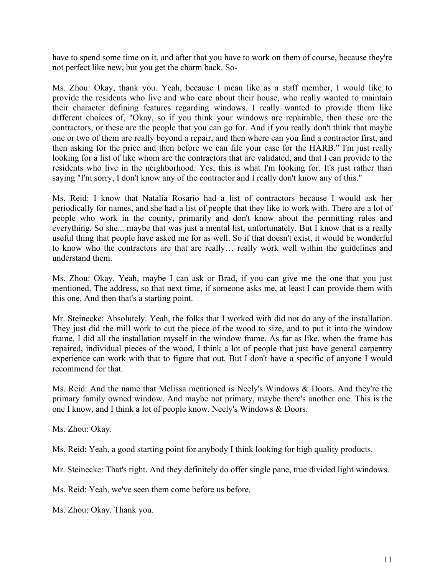have to spend some time on it, and after that you have to work on them of course, because they're not perfect like new, but you get the charm back. So-

Ms. Zhou: Okay, thank you. Yeah, because I mean like as a staff member, I would like to provide the residents who live and who care about their house, who really wanted to maintain their character defining features regarding windows. I really wanted to provide them like different choices of, "Okay, so if you think your windows are repairable, then these are the contractors, or these are the people that you can go for. And if you really don't think that maybe one or two of them are really beyond a repair, and then where can you find a contractor first, and then asking for the price and then before we can file your case for the HARB." I'm just really looking for a list of like whom are the contractors that are validated, and that I can provide to the residents who live in the neighborhood. Yes, this is what I'm looking for. It's just rather than saying "I'm sorry, I don't know any of the contractor and I really don't know any of this."

Ms. Reid: I know that Natalia Rosario had a list of contractors because I would ask her periodically for names, and she had a list of people that they like to work with. There are a lot of people who work in the county, primarily and don't know about the permitting rules and everything. So she... maybe that was just a mental list, unfortunately. But I know that is a really useful thing that people have asked me for as well. So if that doesn't exist, it would be wonderful to know who the contractors are that are really… really work well within the guidelines and understand them.

Ms. Zhou: Okay. Yeah, maybe I can ask or Brad, if you can give me the one that you just mentioned. The address, so that next time, if someone asks me, at least I can provide them with this one. And then that's a starting point.

Mr. Steinecke: Absolutely. Yeah, the folks that I worked with did not do any of the installation. They just did the mill work to cut the piece of the wood to size, and to put it into the window frame. I did all the installation myself in the window frame. As far as like, when the frame has repaired, individual pieces of the wood, I think a lot of people that just have general carpentry experience can work with that to figure that out. But I don't have a specific of anyone I would recommend for that.

Ms. Reid: And the name that Melissa mentioned is Neely's Windows & Doors. And they're the primary family owned window. And maybe not primary, maybe there's another one. This is the one I know, and I think a lot of people know. Neely's Windows & Doors.

Ms. Zhou: Okay.

Ms. Reid: Yeah, a good starting point for anybody I think looking for high quality products.

Mr. Steinecke: That's right. And they definitely do offer single pane, true divided light windows.

Ms. Reid: Yeah, we've seen them come before us before.

Ms. Zhou: Okay. Thank you.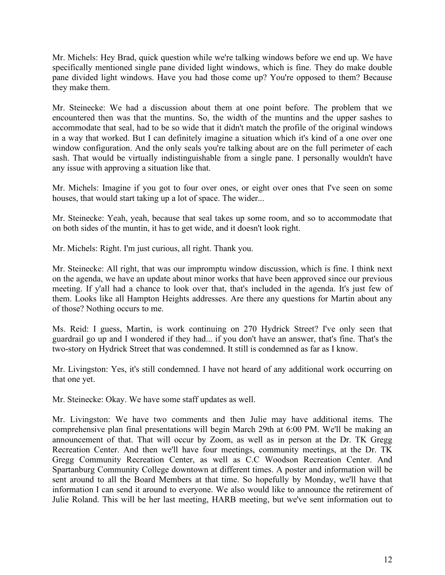Mr. Michels: Hey Brad, quick question while we're talking windows before we end up. We have specifically mentioned single pane divided light windows, which is fine. They do make double pane divided light windows. Have you had those come up? You're opposed to them? Because they make them.

Mr. Steinecke: We had a discussion about them at one point before. The problem that we encountered then was that the muntins. So, the width of the muntins and the upper sashes to accommodate that seal, had to be so wide that it didn't match the profile of the original windows in a way that worked. But I can definitely imagine a situation which it's kind of a one over one window configuration. And the only seals you're talking about are on the full perimeter of each sash. That would be virtually indistinguishable from a single pane. I personally wouldn't have any issue with approving a situation like that.

Mr. Michels: Imagine if you got to four over ones, or eight over ones that I've seen on some houses, that would start taking up a lot of space. The wider...

Mr. Steinecke: Yeah, yeah, because that seal takes up some room, and so to accommodate that on both sides of the muntin, it has to get wide, and it doesn't look right.

Mr. Michels: Right. I'm just curious, all right. Thank you.

Mr. Steinecke: All right, that was our impromptu window discussion, which is fine. I think next on the agenda, we have an update about minor works that have been approved since our previous meeting. If y'all had a chance to look over that, that's included in the agenda. It's just few of them. Looks like all Hampton Heights addresses. Are there any questions for Martin about any of those? Nothing occurs to me.

Ms. Reid: I guess, Martin, is work continuing on 270 Hydrick Street? I've only seen that guardrail go up and I wondered if they had... if you don't have an answer, that's fine. That's the two-story on Hydrick Street that was condemned. It still is condemned as far as I know.

Mr. Livingston: Yes, it's still condemned. I have not heard of any additional work occurring on that one yet.

Mr. Steinecke: Okay. We have some staff updates as well.

Mr. Livingston: We have two comments and then Julie may have additional items. The comprehensive plan final presentations will begin March 29th at 6:00 PM. We'll be making an announcement of that. That will occur by Zoom, as well as in person at the Dr. TK Gregg Recreation Center. And then we'll have four meetings, community meetings, at the Dr. TK Gregg Community Recreation Center, as well as C.C Woodson Recreation Center. And Spartanburg Community College downtown at different times. A poster and information will be sent around to all the Board Members at that time. So hopefully by Monday, we'll have that information I can send it around to everyone. We also would like to announce the retirement of Julie Roland. This will be her last meeting, HARB meeting, but we've sent information out to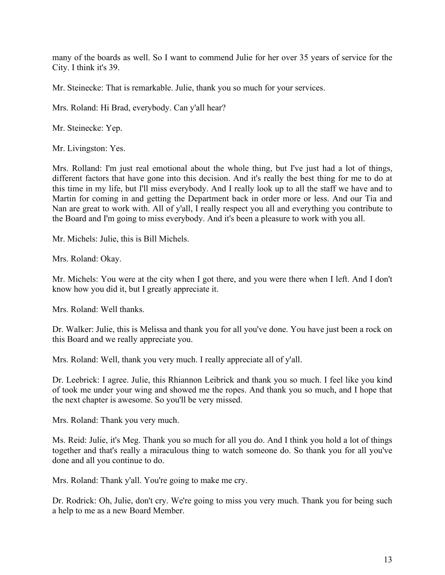many of the boards as well. So I want to commend Julie for her over 35 years of service for the City. I think it's 39.

Mr. Steinecke: That is remarkable. Julie, thank you so much for your services.

Mrs. Roland: Hi Brad, everybody. Can y'all hear?

Mr. Steinecke: Yep.

Mr. Livingston: Yes.

Mrs. Rolland: I'm just real emotional about the whole thing, but I've just had a lot of things, different factors that have gone into this decision. And it's really the best thing for me to do at this time in my life, but I'll miss everybody. And I really look up to all the staff we have and to Martin for coming in and getting the Department back in order more or less. And our Tia and Nan are great to work with. All of y'all, I really respect you all and everything you contribute to the Board and I'm going to miss everybody. And it's been a pleasure to work with you all.

Mr. Michels: Julie, this is Bill Michels.

Mrs. Roland: Okay.

Mr. Michels: You were at the city when I got there, and you were there when I left. And I don't know how you did it, but I greatly appreciate it.

Mrs. Roland: Well thanks.

Dr. Walker: Julie, this is Melissa and thank you for all you've done. You have just been a rock on this Board and we really appreciate you.

Mrs. Roland: Well, thank you very much. I really appreciate all of y'all.

Dr. Leebrick: I agree. Julie, this Rhiannon Leibrick and thank you so much. I feel like you kind of took me under your wing and showed me the ropes. And thank you so much, and I hope that the next chapter is awesome. So you'll be very missed.

Mrs. Roland: Thank you very much.

Ms. Reid: Julie, it's Meg. Thank you so much for all you do. And I think you hold a lot of things together and that's really a miraculous thing to watch someone do. So thank you for all you've done and all you continue to do.

Mrs. Roland: Thank y'all. You're going to make me cry.

Dr. Rodrick: Oh, Julie, don't cry. We're going to miss you very much. Thank you for being such a help to me as a new Board Member.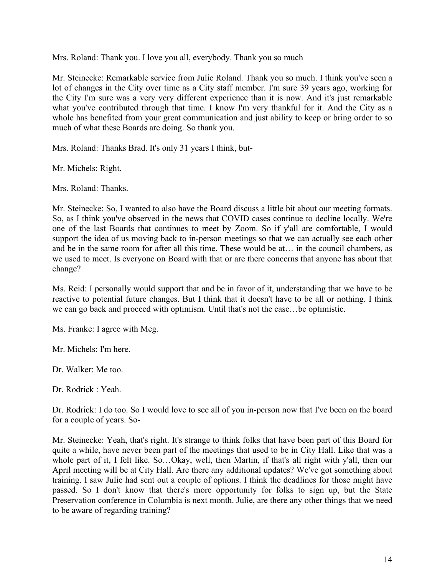Mrs. Roland: Thank you. I love you all, everybody. Thank you so much

Mr. Steinecke: Remarkable service from Julie Roland. Thank you so much. I think you've seen a lot of changes in the City over time as a City staff member. I'm sure 39 years ago, working for the City I'm sure was a very very different experience than it is now. And it's just remarkable what you've contributed through that time. I know I'm very thankful for it. And the City as a whole has benefited from your great communication and just ability to keep or bring order to so much of what these Boards are doing. So thank you.

Mrs. Roland: Thanks Brad. It's only 31 years I think, but-

Mr. Michels: Right.

Mrs. Roland: Thanks.

Mr. Steinecke: So, I wanted to also have the Board discuss a little bit about our meeting formats. So, as I think you've observed in the news that COVID cases continue to decline locally. We're one of the last Boards that continues to meet by Zoom. So if y'all are comfortable, I would support the idea of us moving back to in-person meetings so that we can actually see each other and be in the same room for after all this time. These would be at… in the council chambers, as we used to meet. Is everyone on Board with that or are there concerns that anyone has about that change?

Ms. Reid: I personally would support that and be in favor of it, understanding that we have to be reactive to potential future changes. But I think that it doesn't have to be all or nothing. I think we can go back and proceed with optimism. Until that's not the case…be optimistic.

Ms. Franke: I agree with Meg.

Mr. Michels: I'm here.

Dr. Walker: Me too.

Dr. Rodrick : Yeah.

Dr. Rodrick: I do too. So I would love to see all of you in-person now that I've been on the board for a couple of years. So-

Mr. Steinecke: Yeah, that's right. It's strange to think folks that have been part of this Board for quite a while, have never been part of the meetings that used to be in City Hall. Like that was a whole part of it, I felt like. So…Okay, well, then Martin, if that's all right with y'all, then our April meeting will be at City Hall. Are there any additional updates? We've got something about training. I saw Julie had sent out a couple of options. I think the deadlines for those might have passed. So I don't know that there's more opportunity for folks to sign up, but the State Preservation conference in Columbia is next month. Julie, are there any other things that we need to be aware of regarding training?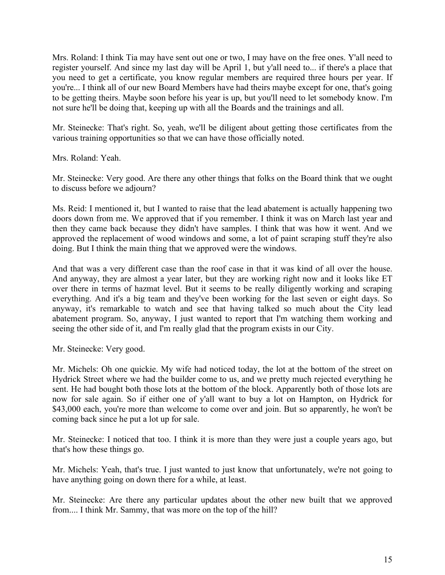Mrs. Roland: I think Tia may have sent out one or two, I may have on the free ones. Y'all need to register yourself. And since my last day will be April 1, but y'all need to... if there's a place that you need to get a certificate, you know regular members are required three hours per year. If you're... I think all of our new Board Members have had theirs maybe except for one, that's going to be getting theirs. Maybe soon before his year is up, but you'll need to let somebody know. I'm not sure he'll be doing that, keeping up with all the Boards and the trainings and all.

Mr. Steinecke: That's right. So, yeah, we'll be diligent about getting those certificates from the various training opportunities so that we can have those officially noted.

Mrs. Roland: Yeah.

Mr. Steinecke: Very good. Are there any other things that folks on the Board think that we ought to discuss before we adjourn?

Ms. Reid: I mentioned it, but I wanted to raise that the lead abatement is actually happening two doors down from me. We approved that if you remember. I think it was on March last year and then they came back because they didn't have samples. I think that was how it went. And we approved the replacement of wood windows and some, a lot of paint scraping stuff they're also doing. But I think the main thing that we approved were the windows.

And that was a very different case than the roof case in that it was kind of all over the house. And anyway, they are almost a year later, but they are working right now and it looks like ET over there in terms of hazmat level. But it seems to be really diligently working and scraping everything. And it's a big team and they've been working for the last seven or eight days. So anyway, it's remarkable to watch and see that having talked so much about the City lead abatement program. So, anyway, I just wanted to report that I'm watching them working and seeing the other side of it, and I'm really glad that the program exists in our City.

Mr. Steinecke: Very good.

Mr. Michels: Oh one quickie. My wife had noticed today, the lot at the bottom of the street on Hydrick Street where we had the builder come to us, and we pretty much rejected everything he sent. He had bought both those lots at the bottom of the block. Apparently both of those lots are now for sale again. So if either one of y'all want to buy a lot on Hampton, on Hydrick for \$43,000 each, you're more than welcome to come over and join. But so apparently, he won't be coming back since he put a lot up for sale.

Mr. Steinecke: I noticed that too. I think it is more than they were just a couple years ago, but that's how these things go.

Mr. Michels: Yeah, that's true. I just wanted to just know that unfortunately, we're not going to have anything going on down there for a while, at least.

Mr. Steinecke: Are there any particular updates about the other new built that we approved from.... I think Mr. Sammy, that was more on the top of the hill?